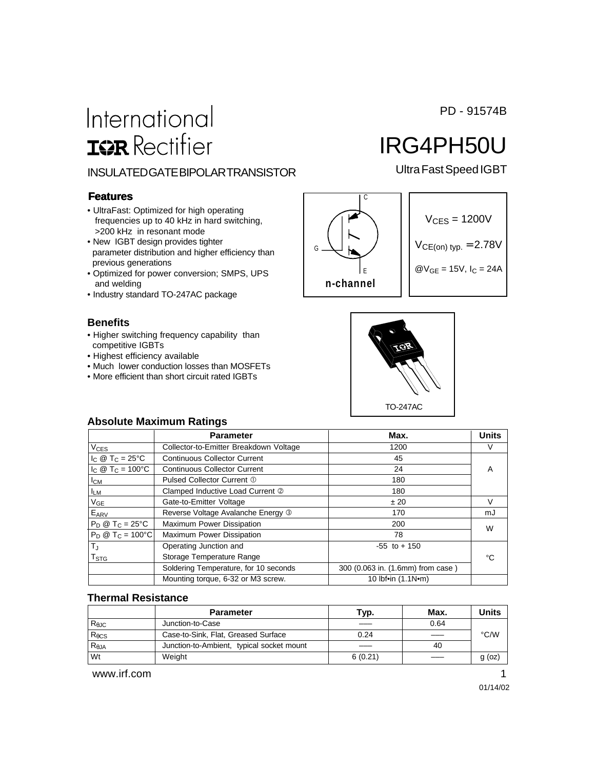PD - 91574B

# International **ISR** Rectifier

### INSULATED GATE BIPOLAR TRANSISTOR Ultra Fast Speed IGBT

#### **Features**

- UltraFast: Optimized for high operating frequencies up to 40 kHz in hard switching, >200 kHz in resonant mode
- New IGBT design provides tighter parameter distribution and higher efficiency than previous generations
- Optimized for power conversion; SMPS, UPS and welding
- Industry standard TO-247AC package

#### **Benefits**

- Higher switching frequency capability than competitive IGBTs
- Highest efficiency available
- Much lower conduction losses than MOSFETs
- More efficient than short circuit rated IGBTs



$$
V_{CES} = 1200V
$$
  
 
$$
V_{CE (on) typ.} = 2.78V
$$
  
 
$$
W_{GE} = 15V, I_C = 24A
$$

IRG4PH50U



#### **Absolute Maximum Ratings**

|                                 | <b>Parameter</b>                       | Max.                              | <b>Units</b> |
|---------------------------------|----------------------------------------|-----------------------------------|--------------|
| <b>V<sub>CES</sub></b>          | Collector-to-Emitter Breakdown Voltage | 1200                              | V            |
| $I_C \otimes T_C = 25^{\circ}C$ | <b>Continuous Collector Current</b>    | 45                                |              |
| $I_C @ T_C = 100^{\circ}C$      | <b>Continuous Collector Current</b>    | 24                                | A            |
| Iсм                             | Pulsed Collector Current 1             | 180                               |              |
| <b>ILM</b>                      | Clamped Inductive Load Current 2       | 180                               |              |
| $V_{GE}$                        | Gate-to-Emitter Voltage                | ± 20                              | V            |
| $E_{ARV}$                       | Reverse Voltage Avalanche Energy 3     | 170                               | mJ           |
| $P_D @ T_C = 25^{\circ}C$       | Maximum Power Dissipation              | 200                               | W            |
| $P_D @ T_C = 100°C$             | Maximum Power Dissipation              | 78                                |              |
| $T_{\rm J}$                     | Operating Junction and                 | $-55$ to $+150$                   |              |
| $\mathsf{T}_{\text{STG}}$       | Storage Temperature Range              |                                   | °C           |
|                                 | Soldering Temperature, for 10 seconds  | 300 (0.063 in. (1.6mm) from case) |              |
|                                 | Mounting torque, 6-32 or M3 screw.     | 10 lbf•in (1.1N•m)                |              |

#### **Thermal Resistance**

|                 | <b>Parameter</b>                          | Тур.    | Max. | Units    |
|-----------------|-------------------------------------------|---------|------|----------|
| $R_{\theta$ JC  | Junction-to-Case                          |         | 0.64 |          |
| $R_{\theta CS}$ | Case-to-Sink, Flat, Greased Surface       | 0.24    |      | °C/W     |
| $R_{\theta JA}$ | Junction-to-Ambient, typical socket mount |         | 40   |          |
| Wt              | Weight                                    | 6(0.21) |      | $g$ (oz) |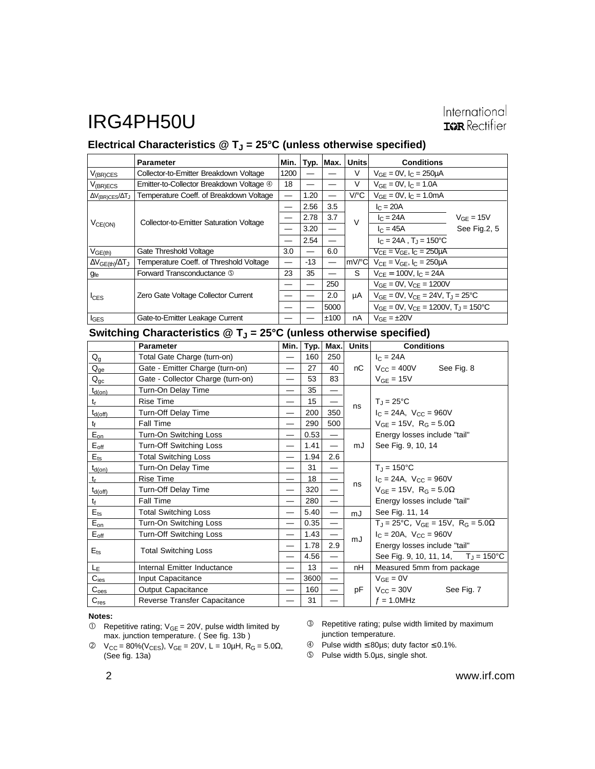## IRG4PH50U

### International **ISR** Rectifier

### Electrical Characteristics @ T<sub>J</sub> = 25°C (unless otherwise specified)

|                                        | <b>Parameter</b>                         | Min. | Typ.              | Max.                     | <b>Units</b> | <b>Conditions</b>                                         |                |
|----------------------------------------|------------------------------------------|------|-------------------|--------------------------|--------------|-----------------------------------------------------------|----------------|
| $V_{(BR)CES}$                          | Collector-to-Emitter Breakdown Voltage   | 1200 |                   |                          | V            | $V_{GF} = 0V$ , $I_C = 250 \mu A$                         |                |
| $V_{(BR)ECS}$                          | Emitter-to-Collector Breakdown Voltage 4 | 18   |                   |                          | V            | $V_{GF} = 0V$ , $I_C = 1.0A$                              |                |
| $\Delta V_{\text{(BR)CES}}/\Delta T_J$ | Temperature Coeff. of Breakdown Voltage  |      | 1.20              |                          | V/C          | $V_{GF} = 0V$ , $I_C = 1.0mA$                             |                |
| $V_{CE(ON)}$                           | Collector-to-Emitter Saturation Voltage  |      | 2.56              | 3.5                      | $\vee$       | $I_{C} = 20A$                                             |                |
|                                        |                                          |      | 2.78              | 3.7                      |              | $I_{C} = 24A$                                             | $V_{GE} = 15V$ |
|                                        |                                          |      | 3.20              | $\overline{\phantom{0}}$ |              | $I_C = 45A$                                               | See Fig.2, 5   |
|                                        |                                          |      | 2.54              |                          |              | $I_C = 24A$ , $T_J = 150^{\circ}C$                        |                |
| $V_{GE(th)}$                           | Gate Threshold Voltage                   | 3.0  | $\hspace{0.05cm}$ | 6.0                      |              | $V_{CF} = V_{GF}$ , $I_C = 250 \mu A$                     |                |
| $\Delta V_{GE(\text{th})}/\Delta T_J$  | Temperature Coeff. of Threshold Voltage  |      | $-13$             |                          | lmV/°Cl      | $V_{CF} = V_{GF}$ , $I_C = 250 \mu A$                     |                |
| <b>g</b> fe                            | Forward Transconductance 5               | 23   | 35                |                          | S            | $V_{CF} = 100V$ , $I_C = 24A$                             |                |
| <sup>I</sup> CES                       | Zero Gate Voltage Collector Current      |      |                   | 250                      | μA           | $V_{GF} = 0V$ , $V_{CF} = 1200V$                          |                |
|                                        |                                          |      |                   | 2.0                      |              | $V_{GE} = 0V$ , $V_{CE} = 24V$ , $T_J = 25^{\circ}C$      |                |
|                                        |                                          |      |                   | 5000                     |              | $V_{GF} = 0V$ , $V_{CF} = 1200V$ , $T_{J} = 150^{\circ}C$ |                |
| $I_{\text{GES}}$                       | Gate-to-Emitter Leakage Current          |      |                   | ±100                     | nA           | $V_{GF} = \pm 20V$                                        |                |

### Switching Characteristics @ T<sub>J</sub> = 25°C (unless otherwise specified)

|                             | <b>Parameter</b>                  | Min. | Typ. | Max.                     | <b>Units</b> | <b>Conditions</b>                                                        |
|-----------------------------|-----------------------------------|------|------|--------------------------|--------------|--------------------------------------------------------------------------|
| $Q_g$                       | Total Gate Charge (turn-on)       |      | 160  | 250                      |              | $I_{C} = 24A$                                                            |
| $Q_{ge}$                    | Gate - Emitter Charge (turn-on)   |      | 27   | 40                       | nC           | $V_{CC} = 400V$<br>See Fig. 8                                            |
| $Q_{gc}$                    | Gate - Collector Charge (turn-on) |      | 53   | 83                       |              | $V_{GE}$ = 15V                                                           |
| $t_{d(on)}$                 | Turn-On Delay Time                | —    | 35   | —                        |              |                                                                          |
| $t_{\rm r}$                 | <b>Rise Time</b>                  |      | 15   |                          | ns           | $T_J = 25^{\circ}C$                                                      |
| $t_{d(off)}$                | Turn-Off Delay Time               |      | 200  | 350                      |              | $I_C = 24A$ , $V_{CC} = 960V$                                            |
| $t_{f}$                     | <b>Fall Time</b>                  |      | 290  | 500                      |              | $V_{GE} = 15V$ , R <sub>G</sub> = 5.0 $\Omega$                           |
| $E_{on}$                    | Turn-On Switching Loss            |      | 0.53 | $\equiv$                 |              | Energy losses include "tail"                                             |
| $E_{\text{off}}$            | Turn-Off Switching Loss           |      | 1.41 | $\overline{\phantom{0}}$ | mJ           | See Fig. 9, 10, 14                                                       |
| $E_{ts}$                    | <b>Total Switching Loss</b>       |      | 1.94 | 2.6                      |              |                                                                          |
| $t_{d(on)}$                 | Turn-On Delay Time                |      | 31   |                          |              | $T_{J} = 150^{\circ}C$                                                   |
| $t_{r}$                     | Rise Time                         |      | 18   |                          |              | $I_C = 24A$ , $V_{CC} = 960V$                                            |
| $t_{d(off)}$                | Turn-Off Delay Time               |      | 320  |                          | ns           | $V_{GF} = 15V$ , $R_G = 5.0\Omega$                                       |
| tf                          | Fall Time                         |      | 280  | —                        |              | Energy losses include "tail"                                             |
| $E_{ts}$                    | <b>Total Switching Loss</b>       | —    | 5.40 | —                        | mJ           | See Fig. 11, 14                                                          |
| $E_{on}$                    | Turn-On Switching Loss            | —    | 0.35 | $\qquad \qquad$          |              | $T_{\rm J} = 25^{\circ}$ C, $V_{\rm GF} = 15V$ , $R_{\rm G} = 5.0\Omega$ |
| $\mathsf{E}_{\mathsf{off}}$ | Turn-Off Switching Loss           | —    | 1.43 |                          |              | $I_C = 20A$ , $V_{CC} = 960V$                                            |
| $E_{ts}$                    | <b>Total Switching Loss</b>       |      | 1.78 | 2.9                      | mJ           | Energy losses include "tail"                                             |
|                             |                                   |      | 4.56 | $\equiv$                 |              | See Fig. 9, 10, 11, 14, $T_J = 150^{\circ}$ C                            |
| LE                          | Internal Emitter Inductance       |      | 13   | $\overline{\phantom{0}}$ | nH           | Measured 5mm from package                                                |
| $C_{\text{ies}}$            | Input Capacitance                 |      | 3600 | $\equiv$                 |              | $V_{GE} = 0V$                                                            |
| $C_{\text{oes}}$            | <b>Output Capacitance</b>         |      | 160  |                          | pF           | $V_{\rm CC} = 30V$<br>See Fig. 7                                         |
| $C_{res}$                   | Reverse Transfer Capacitance      |      | 31   |                          |              | $f = 1.0$ MHz                                                            |

#### **Notes:**

- $V_{\text{CC}} = 80\%$ (V<sub>CES</sub>), V<sub>GE</sub> = 20V, L = 10μH, R<sub>G</sub> = 5.0Ω, (See fig. 13a)
- Repetitive rating; pulse width limited by maximum junction temperature.
- $\circledA$  Pulse width  $\leq$  80 µs; duty factor  $\leq$  0.1%.
- Pulse width 5.0µs, single shot.

 $\circledR$  Repetitive rating;  $V_{GE} = 20V$ , pulse width limited by max. junction temperature. ( See fig. 13b )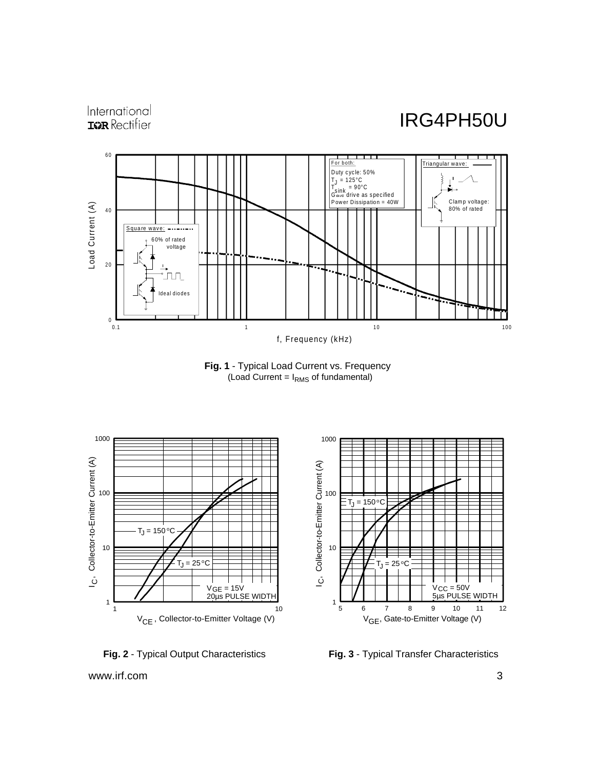International **IGR** Rectifier

## IRG4PH50U









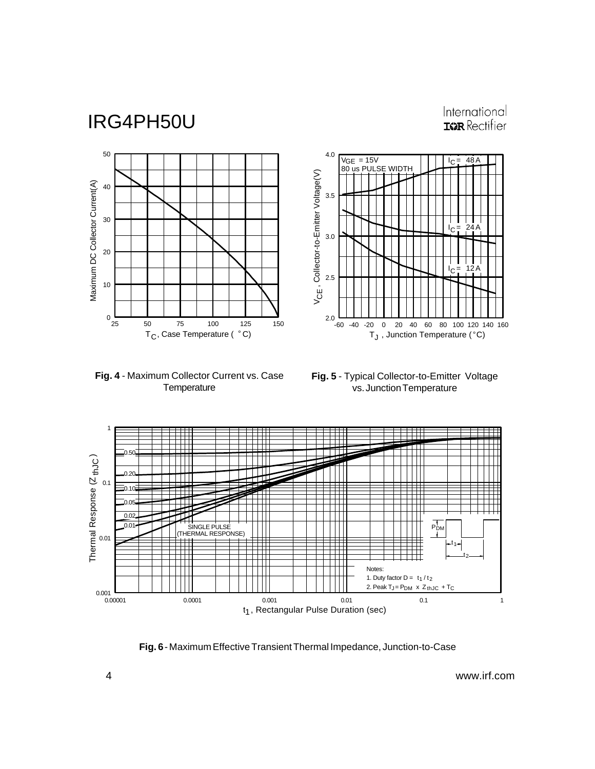## IRG4PH50U

### International **IGR** Rectifier

 $I_C = 12A$ 

 $I_C = 24 A$ 

 $I_C = 48A$ 







-60 -40 -20 0 20 40 60 80 100 120 140 160

T $_{\mathsf{J}}$  , Junction Temperature (°C)



2.0

2.5

3.0

V , Collector-to-Emitter Voltage(V) V<sub>CE</sub>, Collector-to-Emitter Voltage(V)

3.5

4.0

 $VGE = 15V$ VGE = 15V<br>80 us PULSE WIDTH

**Fig. 6** - Maximum Effective Transient Thermal Impedance, Junction-to-Case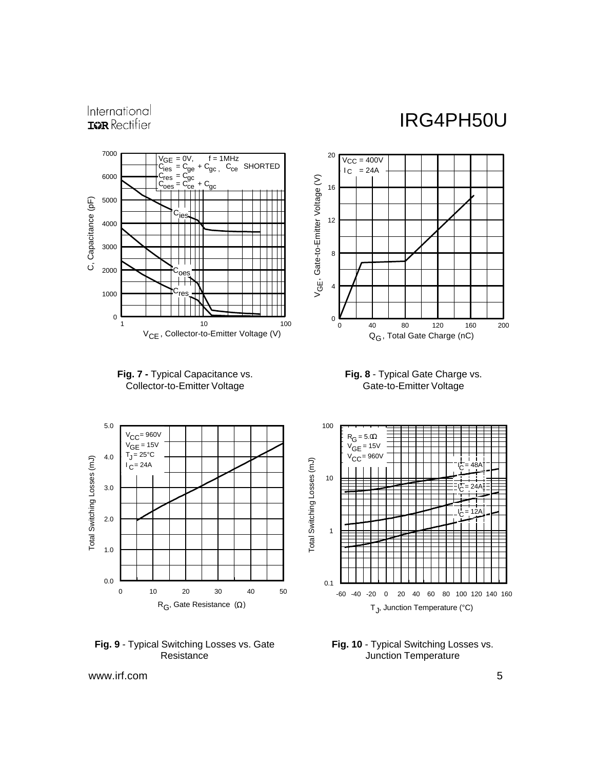International **IGR** Rectifier

## IRG4PH50U









**Fig. 9** - Typical Switching Losses vs. Gate **Resistance** 



**Fig. 10** - Typical Switching Losses vs. Junction Temperature

www.irf.com 5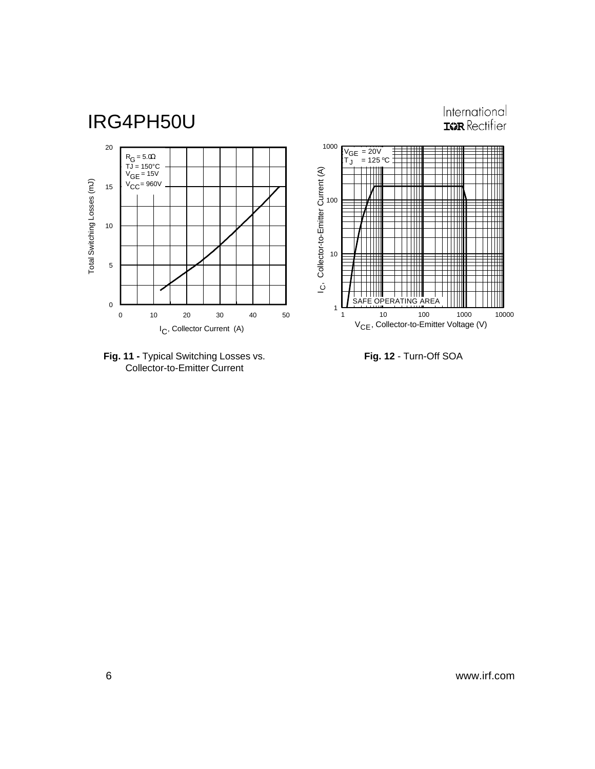



**Fig. 12** - Turn-Off SOA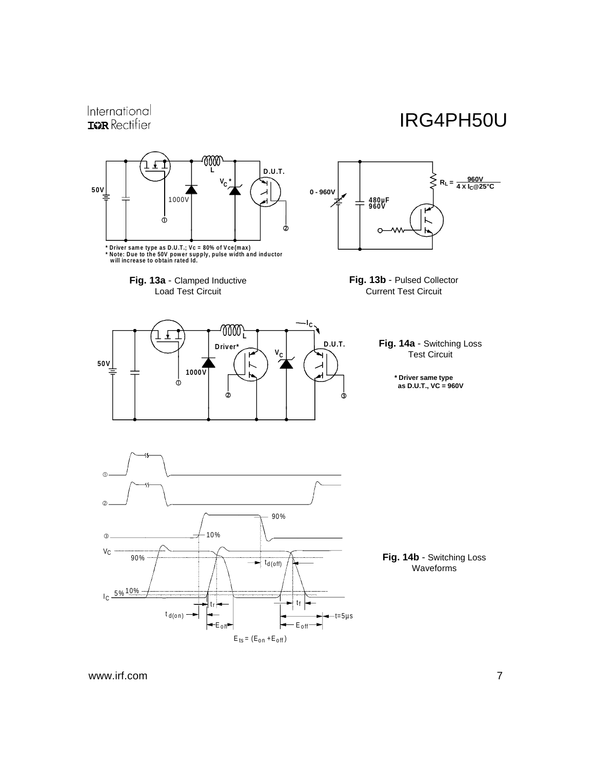## IRG4PH50U



www.irf.com 7

International